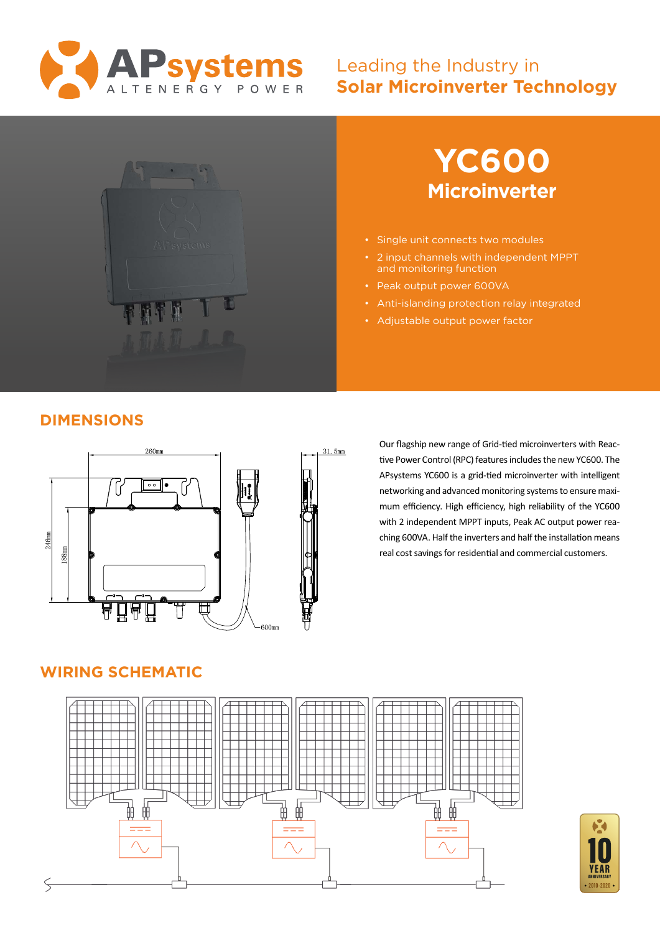

## Leading the Industry in **Solar Microinverter Technology**





- Single unit connects two modules
- 2 input channels with independent MPPT and monitoring function
- Peak output power 600VA
- Anti-islanding protection relay integrated
- Adjustable output power factor

## **DIMENSIONS**



Our flagship new range of Grid-tied microinverters with Reactive Power Control (RPC) features includes the new YC600. The APsystems YC600 is a grid-tied microinverter with intelligent networking and advanced monitoring systems to ensure maximum efficiency. High efficiency, high reliability of the YC600 with 2 independent MPPT inputs, Peak AC output power reaching 600VA. Half the inverters and half the installation means real cost savings for residential and commercial customers.

### **WIRING SCHEMATIC**